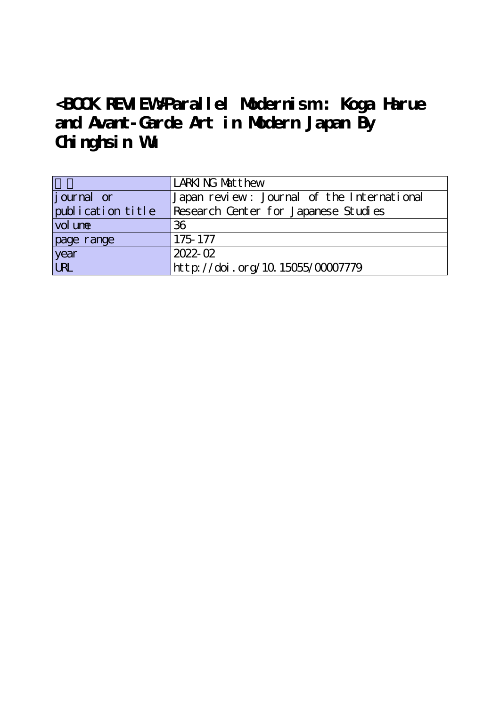## **<BOOK REVIEW>Parallel Modernism : Koga Harue and Avant-Garde Art in Modern Japan By Chinghsin Wu**

|                   | LARKING Matthew                            |
|-------------------|--------------------------------------------|
| journal or        | Japan review: Journal of the International |
| publication title | Research Center for Japanese Studies       |
| vol une           | 36                                         |
| page range        | 175-177                                    |
| year<br>URL       | 2022-02                                    |
|                   | http://doi.org/10.15055/00007779           |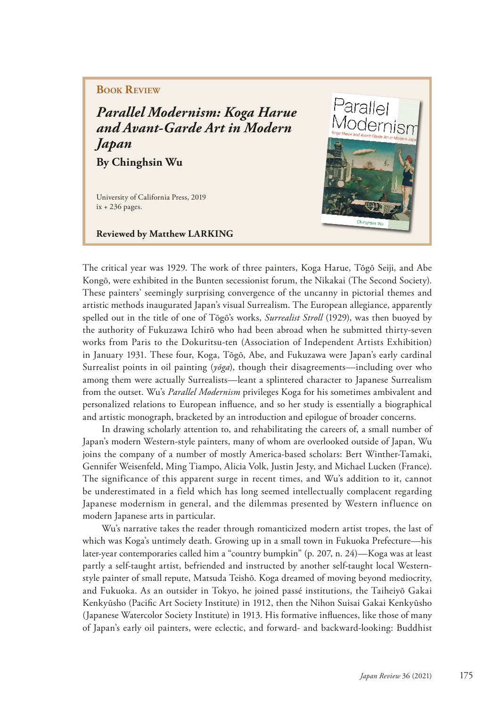## **Book Review**

*Parallel Modernism: Koga Harue and Avant-Garde Art in Modern Japan* **By Chinghsin Wu**

University of California Press, 2019

ix + 236 pages.

**Reviewed by Matthew LARKING** 



The critical year was 1929. The work of three painters, Koga Harue, Tōgō Seiji, and Abe Kongō, were exhibited in the Bunten secessionist forum, the Nikakai (The Second Society). These painters' seemingly surprising convergence of the uncanny in pictorial themes and artistic methods inaugurated Japan's visual Surrealism. The European allegiance, apparently spelled out in the title of one of Tōgō's works, *Surrealist Stroll* (1929), was then buoyed by the authority of Fukuzawa Ichirō who had been abroad when he submitted thirty-seven works from Paris to the Dokuritsu-ten (Association of Independent Artists Exhibition) in January 1931. These four, Koga, Tōgō, Abe, and Fukuzawa were Japan's early cardinal Surrealist points in oil painting (*yōga*), though their disagreements—including over who among them were actually Surrealists—leant a splintered character to Japanese Surrealism from the outset. Wu's *Parallel Modernism* privileges Koga for his sometimes ambivalent and personalized relations to European infuence, and so her study is essentially a biographical and artistic monograph, bracketed by an introduction and epilogue of broader concerns.

In drawing scholarly attention to, and rehabilitating the careers of, a small number of Japan's modern Western-style painters, many of whom are overlooked outside of Japan, Wu joins the company of a number of mostly America-based scholars: Bert Winther-Tamaki, Gennifer Weisenfeld, Ming Tiampo, Alicia Volk, Justin Jesty, and Michael Lucken (France). The significance of this apparent surge in recent times, and Wu's addition to it, cannot be underestimated in a field which has long seemed intellectually complacent regarding Japanese modernism in general, and the dilemmas presented by Western influence on modern Japanese arts in particular.

Wu's narrative takes the reader through romanticized modern artist tropes, the last of which was Koga's untimely death. Growing up in a small town in Fukuoka Prefecture—his later-year contemporaries called him a "country bumpkin" (p. 207, n. 24)—Koga was at least partly a self-taught artist, befriended and instructed by another self-taught local Westernstyle painter of small repute, Matsuda Teishō. Koga dreamed of moving beyond mediocrity, and Fukuoka. As an outsider in Tokyo, he joined passé institutions, the Taiheiyō Gakai Kenkyūsho (Pacifc Art Society Institute) in 1912, then the Nihon Suisai Gakai Kenkyūsho (Japanese Watercolor Society Institute) in 1913. His formative infuences, like those of many of Japan's early oil painters, were eclectic, and forward- and backward-looking: Buddhist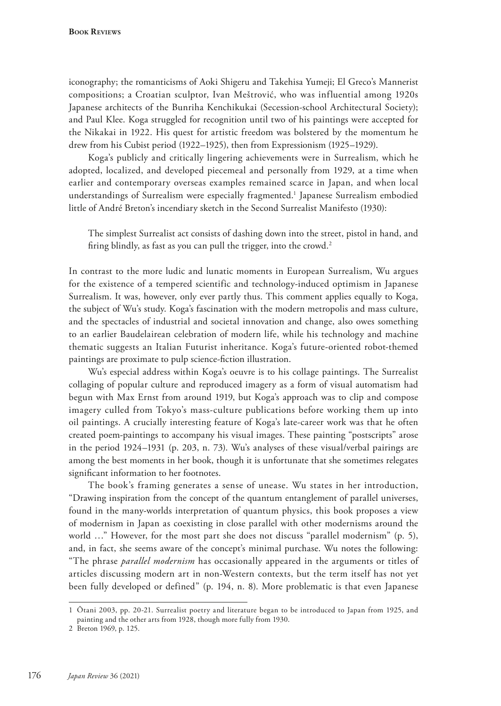iconography; the romanticisms of Aoki Shigeru and Takehisa Yumeji; El Greco's Mannerist compositions; a Croatian sculptor, Ivan Meštrović, who was influential among 1920s Japanese architects of the Bunriha Kenchikukai (Secession-school Architectural Society); and Paul Klee. Koga struggled for recognition until two of his paintings were accepted for the Nikakai in 1922. His quest for artistic freedom was bolstered by the momentum he drew from his Cubist period (1922–1925), then from Expressionism (1925–1929).

Koga's publicly and critically lingering achievements were in Surrealism, which he adopted, localized, and developed piecemeal and personally from 1929, at a time when earlier and contemporary overseas examples remained scarce in Japan, and when local understandings of Surrealism were especially fragmented.1 Japanese Surrealism embodied little of André Breton's incendiary sketch in the Second Surrealist Manifesto (1930):

The simplest Surrealist act consists of dashing down into the street, pistol in hand, and firing blindly, as fast as you can pull the trigger, into the crowd.<sup>2</sup>

In contrast to the more ludic and lunatic moments in European Surrealism, Wu argues for the existence of a tempered scientific and technology-induced optimism in Japanese Surrealism. It was, however, only ever partly thus. This comment applies equally to Koga, the subject of Wu's study. Koga's fascination with the modern metropolis and mass culture, and the spectacles of industrial and societal innovation and change, also owes something to an earlier Baudelairean celebration of modern life, while his technology and machine thematic suggests an Italian Futurist inheritance. Koga's future-oriented robot-themed paintings are proximate to pulp science-fction illustration.

Wu's especial address within Koga's oeuvre is to his collage paintings. The Surrealist collaging of popular culture and reproduced imagery as a form of visual automatism had begun with Max Ernst from around 1919, but Koga's approach was to clip and compose imagery culled from Tokyo's mass-culture publications before working them up into oil paintings. A crucially interesting feature of Koga's late-career work was that he often created poem-paintings to accompany his visual images. These painting "postscripts" arose in the period 1924–1931 (p. 203, n. 73). Wu's analyses of these visual/verbal pairings are among the best moments in her book, though it is unfortunate that she sometimes relegates signifcant information to her footnotes.

The book's framing generates a sense of unease. Wu states in her introduction, "Drawing inspiration from the concept of the quantum entanglement of parallel universes, found in the many-worlds interpretation of quantum physics, this book proposes a view of modernism in Japan as coexisting in close parallel with other modernisms around the world ..." However, for the most part she does not discuss "parallel modernism" (p. 5), and, in fact, she seems aware of the concept's minimal purchase. Wu notes the following: "The phrase *parallel modernism* has occasionally appeared in the arguments or titles of articles discussing modern art in non-Western contexts, but the term itself has not yet been fully developed or defined" (p. 194, n. 8). More problematic is that even Japanese

<sup>1</sup> Ōtani 2003, pp. 20-21. Surrealist poetry and literature began to be introduced to Japan from 1925, and painting and the other arts from 1928, though more fully from 1930.

<sup>2</sup> Breton 1969, p. 125.